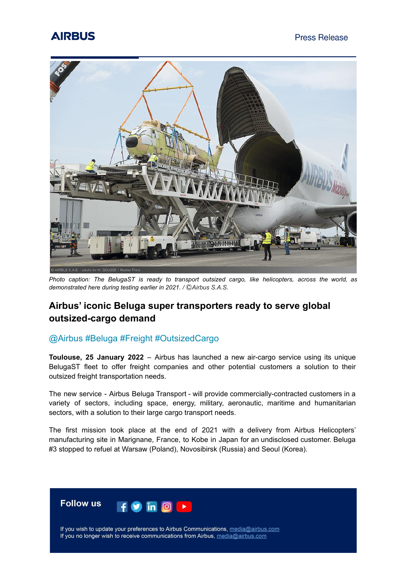# **AIRBUS**



*Photo caption: The BelugaST is ready to transport outsized cargo, like helicopters, across the world, as demonstrated here during testing earlier in 2021. /* Ⓒ*Airbus S.A.S.*

### **Airbus' iconic Beluga super transporters ready to serve global outsized-cargo demand**

### @Airbus #Beluga #Freight #OutsizedCargo

**Toulouse, 25 January 2022** – Airbus has launched a new air-cargo service using its unique BelugaST fleet to offer freight companies and other potential customers a solution to their outsized freight transportation needs.

The new service - Airbus Beluga Transport - will provide commercially-contracted customers in a variety of sectors, including space, energy, military, aeronautic, maritime and humanitarian sectors, with a solution to their large cargo transport needs.

The first mission took place at the end of 2021 with a delivery from Airbus Helicopters' manufacturing site in Marignane, France, to Kobe in Japan for an undisclosed customer. Beluga #3 stopped to refuel at Warsaw (Poland), Novosibirsk (Russia) and Seoul (Korea).

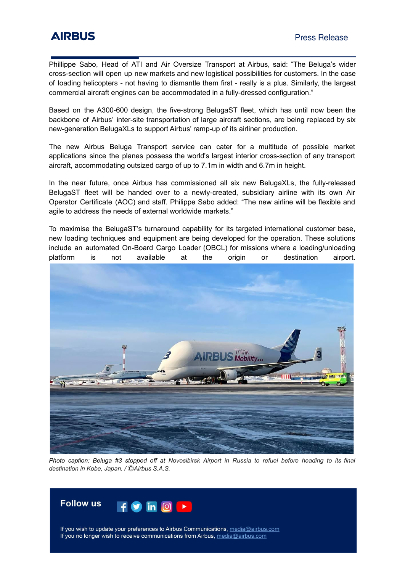Phillippe Sabo, Head of ATI and Air Oversize Transport at Airbus, said: "The Beluga's wider cross-section will open up new markets and new logistical possibilities for customers. In the case of loading helicopters - not having to dismantle them first - really is a plus. Similarly, the largest commercial aircraft engines can be accommodated in a fully-dressed configuration."

Based on the A300-600 design, the five-strong BelugaST fleet, which has until now been the backbone of Airbus' inter-site transportation of large aircraft sections, are being replaced by six new-generation BelugaXLs to support Airbus' ramp-up of its airliner production.

The new Airbus Beluga Transport service can cater for a multitude of possible market applications since the planes possess the world's largest interior cross-section of any transport aircraft, accommodating outsized cargo of up to 7.1m in width and 6.7m in height.

In the near future, once Airbus has commissioned all six new BelugaXLs, the fully-released BelugaST fleet will be handed over to a newly-created, subsidiary airline with its own Air Operator Certificate (AOC) and staff. Philippe Sabo added: "The new airline will be flexible and agile to address the needs of external worldwide markets."

To maximise the BelugaST's turnaround capability for its targeted international customer base, new loading techniques and equipment are being developed for the operation. These solutions include an automated On-Board Cargo Loader (OBCL) for missions where a loading/unloading platform is not available at the origin or destination airport.



Photo caption: Beluga #3 stopped off at Novosibirsk Airport in Russia to refuel before heading to its final *destination in Kobe, Japan. /* Ⓒ*Airbus S.A.S.*